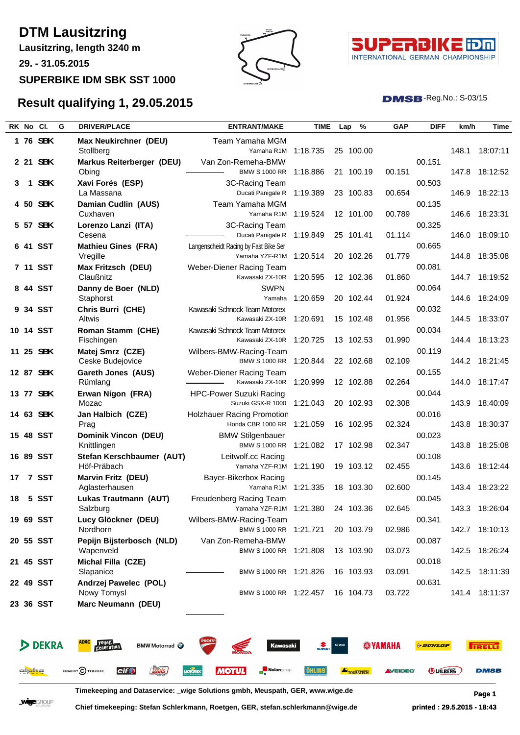## **DTM Lausitzring**

**Lausitzring, length 3240 m**

**29. - 31.05.2015**

**SUPERBIKE IDM SBK SST 1000**





 $DMSB$ -Reg.No.:  $S-03/15$ 

## **Result qualifying 1, 29.05.2015**

|    | RK No Cl.            |               | G | <b>DRIVER/PLACE</b>                                       | <b>ENTRANT/MAKE</b>                                              | <b>TIME</b>  | Lap | %         | GAP            | <b>DIFF</b>           | km/h  | Time           |
|----|----------------------|---------------|---|-----------------------------------------------------------|------------------------------------------------------------------|--------------|-----|-----------|----------------|-----------------------|-------|----------------|
|    |                      | 1 76 SBK      |   | Max Neukirchner (DEU)<br>Stollberg                        | Team Yamaha MGM<br>Yamaha R1M                                    | 1:18.735     |     | 25 100.00 |                |                       | 148.1 | 18:07:11       |
|    |                      | 2 21 SBK      |   | Markus Reiterberger (DEU)<br>Obing                        | Van Zon-Remeha-BMW<br><b>BMW S 1000 RR</b>                       | 1:18.886     |     | 21 100.19 | 00.151         | 00.151                |       | 147.8 18:12:52 |
| 3  |                      | 1 SBK         |   | Xavi Forés (ESP)<br>La Massana                            | 3C-Racing Team<br>Ducati Panigale R                              | 1:19.389     |     | 23 100.83 | 00.654         | 00.503                | 146.9 | 18:22:13       |
|    |                      | 4 50 SBK      |   | Damian Cudlin (AUS)                                       | Team Yamaha MGM                                                  |              |     |           |                | 00.135                |       |                |
|    |                      | 5 57 SBK      |   | Cuxhaven<br>Lorenzo Lanzi (ITA)                           | Yamaha R1M<br>3C-Racing Team                                     | 1:19.524     |     | 12 101.00 | 00.789         | 00.325                | 146.6 | 18:23:31       |
| 6  |                      | <b>41 SST</b> |   | Cesena                                                    | Ducati Panigale R                                                | 1:19.849     |     | 25 101.41 | 01.114         | 00.665                | 146.0 | 18:09:10       |
|    |                      |               |   | <b>Mathieu Gines (FRA)</b><br>Vregille                    | Langenscheidt Racing by Fast Bike Ser<br>Yamaha YZF-R1M 1:20.514 |              |     | 20 102.26 | 01.779         |                       | 144.8 | 18:35:08       |
|    |                      | 7 11 SST      |   | Max Fritzsch (DEU)<br>Claußnitz                           | Weber-Diener Racing Team<br>Kawasaki ZX-10R                      | 1:20.595     |     | 12 102.36 | 01.860         | 00.081                |       | 144.7 18:19:52 |
|    |                      | 8 44 SST      |   | Danny de Boer (NLD)<br>Staphorst                          | <b>SWPN</b><br>Yamaha                                            | 1:20.659     |     | 20 102.44 | 01.924         | 00.064                | 144.6 | 18:24:09       |
|    |                      | 9 34 SST      |   | Chris Burri (CHE)                                         | Kawasaki Schnock Team Motorex                                    |              |     |           |                | 00.032                |       |                |
|    |                      | 10 14 SST     |   | Altwis<br>Roman Stamm (CHE)                               | Kawasaki ZX-10R<br>Kawasaki Schnock Team Motorex                 | 1:20.691     |     | 15 102.48 | 01.956         | 00.034                | 144.5 | 18:33:07       |
|    |                      | 11 25 SBK     |   | Fischingen<br>Matej Smrz (CZE)                            | Kawasaki ZX-10R<br>Wilbers-BMW-Racing-Team                       | 1:20.725     |     | 13 102.53 | 01.990         | 00.119                |       | 144.4 18:13:23 |
|    |                      |               |   | Ceske Budejovice                                          | BMW S 1000 RR 1:20.844                                           |              |     | 22 102.68 | 02.109         |                       |       | 144.2 18:21:45 |
|    |                      | 12 87 SBK     |   | Gareth Jones (AUS)<br>Rümlang                             | Weber-Diener Racing Team<br>Kawasaki ZX-10R                      | 1:20.999     |     | 12 102.88 | 02.264         | 00.155                |       | 144.0 18:17:47 |
|    |                      | 13 77 SBK     |   | Erwan Nigon (FRA)<br>Mozac                                | <b>HPC-Power Suzuki Racing</b><br>Suzuki GSX-R 1000              | 1:21.043     |     | 20 102.93 | 02.308         | 00.044                | 143.9 | 18:40:09       |
|    |                      | 14 63 SBK     |   | Jan Halbich (CZE)<br>Prag                                 | <b>Holzhauer Racing Promotion</b><br>Honda CBR 1000 RR           | 1:21.059     |     | 16 102.95 | 02.324         | 00.016                |       | 143.8 18:30:37 |
|    |                      | 15 48 SST     |   | Dominik Vincon (DEU)                                      | <b>BMW Stilgenbauer</b>                                          |              |     |           |                | 00.023                |       |                |
|    |                      | 16 89 SST     |   | Knittlingen<br>Stefan Kerschbaumer (AUT)                  | <b>BMW S 1000 RR</b><br>Leitwolf.cc Racing                       | 1:21.082     |     | 17 102.98 | 02.347         | 00.108                |       | 143.8 18:25:08 |
| 17 |                      | 7 SST         |   | Höf-Präbach<br><b>Marvin Fritz (DEU)</b>                  | Yamaha YZF-R1M 1:21.190<br>Bayer-Bikerbox Racing                 |              |     | 19 103.12 | 02.455         | 00.145                |       | 143.6 18:12:44 |
|    |                      |               |   | Aglasterhausen                                            | Yamaha R1M 1:21.335                                              |              |     | 18 103.30 | 02.600         |                       |       | 143.4 18:23:22 |
| 18 |                      | 5 SST         |   | Lukas Trautmann (AUT)<br>Salzburg                         | Freudenberg Racing Team<br>Yamaha YZF-R1M 1:21.380               |              |     | 24 103.36 | 02.645         | 00.045                |       | 143.3 18:26:04 |
|    |                      | 19 69 SST     |   | Lucy Glöckner (DEU)<br>Nordhorn                           | Wilbers-BMW-Racing-Team<br><b>BMW S 1000 RR</b>                  | 1:21.721     |     | 20 103.79 | 02.986         | 00.341                |       | 142.7 18:10:13 |
|    |                      | 20 55 SST     |   | Pepijn Bijsterbosch (NLD)<br>Wapenveld                    | Van Zon-Remeha-BMW<br>BMW S 1000 RR                              | 1:21.808     |     | 13 103.90 | 03.073         | 00.087                |       | 142.5 18:26:24 |
|    |                      | 21 45 SST     |   | Michal Filla (CZE)                                        |                                                                  |              |     |           |                | 00.018                |       |                |
|    |                      | 22 49 SST     |   | Slapanice<br>Andrzej Pawelec (POL)                        | BMW S 1000 RR 1:21.826                                           |              |     | 16 103.93 | 03.091         | 00.631                | 142.5 | 18:11:39       |
|    |                      | 23 36 SST     |   | Nowy Tomysl<br>Marc Neumann (DEU)                         | BMW S 1000 RR 1:22.457                                           |              |     | 16 104.73 | 03.722         |                       |       | 141.4 18:11:37 |
|    |                      |               |   |                                                           |                                                                  |              |     |           |                |                       |       |                |
|    |                      |               |   |                                                           |                                                                  |              |     |           |                |                       |       |                |
|    |                      | <b>DEKRA</b>  |   | young<br>generation<br><b>BMW Motorrad O</b>              | <b>Kawasaki</b>                                                  | <b>SUZUK</b> |     |           | <b>WYAMAHA</b> | <b><i>ODUNLOP</i></b> |       | <b>IRELL</b>   |
|    | al <mark>ioha</mark> |               |   | <b>Louis</b><br>COMEDY CIVALNED<br><b>elf<sup>®</sup></b> | <b>MOTOREX</b><br><b>MOTUL</b><br><b>Nolan</b> group             | ĴHLINS       |     | TOURATECH | <b>VEIDEC</b>  | <b>DUILBERS</b>       |       | <b>DMSB</b>    |

**Timekeeping and Dataservice: \_wige Solutions gmbh, Meuspath, GER, www.wige.de Page 1**

**Chief timekeeping: Stefan Schlerkmann, Roetgen, GER, stefan.schlerkmann@wige.de printed : 29.5.2015 - 18:43**